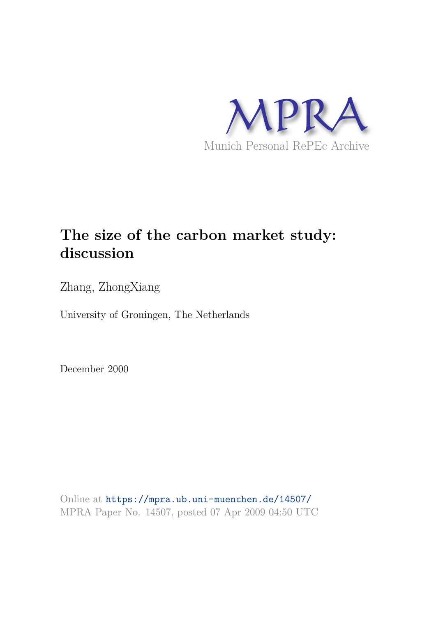

# **The size of the carbon market study: discussion**

Zhang, ZhongXiang

University of Groningen, The Netherlands

December 2000

Online at https://mpra.ub.uni-muenchen.de/14507/ MPRA Paper No. 14507, posted 07 Apr 2009 04:50 UTC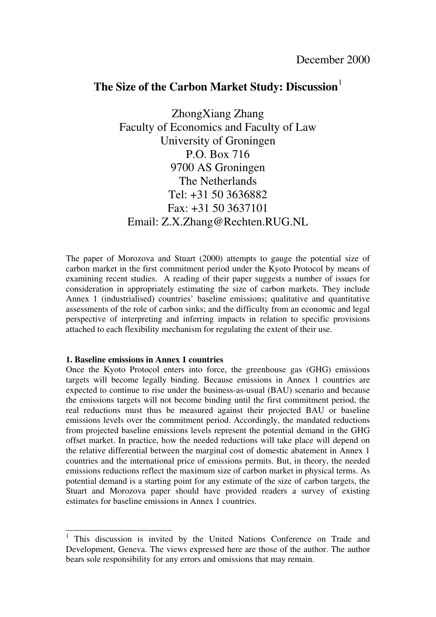## The Size of the Carbon Market Study: Discussion<sup>[1](#page-1-0)</sup>

ZhongXiang Zhang Faculty of Economics and Faculty of Law University of Groningen P.O. Box 716 9700 AS Groningen The Netherlands Tel: +31 50 3636882 Fax: +31 50 3637101 Email: Z.X.Zhang@Rechten.RUG.NL

The paper of Morozova and Stuart (2000) attempts to gauge the potential size of carbon market in the first commitment period under the Kyoto Protocol by means of examining recent studies. A reading of their paper suggests a number of issues for consideration in appropriately estimating the size of carbon markets. They include Annex 1 (industrialised) countries' baseline emissions; qualitative and quantitative assessments of the role of carbon sinks; and the difficulty from an economic and legal perspective of interpreting and inferring impacts in relation to specific provisions attached to each flexibility mechanism for regulating the extent of their use.

### **1. Baseline emissions in Annex 1 countries**

Once the Kyoto Protocol enters into force, the greenhouse gas (GHG) emissions targets will become legally binding. Because emissions in Annex 1 countries are expected to continue to rise under the business-as-usual (BAU) scenario and because the emissions targets will not become binding until the first commitment period, the real reductions must thus be measured against their projected BAU or baseline emissions levels over the commitment period. Accordingly, the mandated reductions from projected baseline emissions levels represent the potential demand in the GHG offset market. In practice, how the needed reductions will take place will depend on the relative differential between the marginal cost of domestic abatement in Annex 1 countries and the international price of emissions permits. But, in theory, the needed emissions reductions reflect the maximum size of carbon market in physical terms. As potential demand is a starting point for any estimate of the size of carbon targets, the Stuart and Morozova paper should have provided readers a survey of existing estimates for baseline emissions in Annex 1 countries.

<span id="page-1-0"></span><sup>&</sup>lt;sup>1</sup> This discussion is invited by the United Nations Conference on Trade and Development, Geneva. The views expressed here are those of the author. The author bears sole responsibility for any errors and omissions that may remain.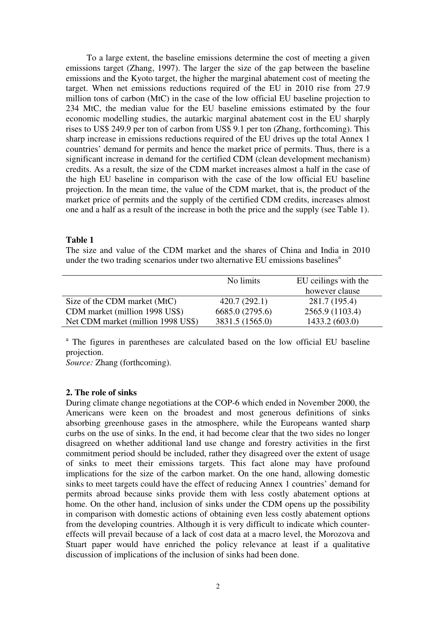To a large extent, the baseline emissions determine the cost of meeting a given emissions target (Zhang, 1997). The larger the size of the gap between the baseline emissions and the Kyoto target, the higher the marginal abatement cost of meeting the target. When net emissions reductions required of the EU in 2010 rise from 27.9 million tons of carbon (MtC) in the case of the low official EU baseline projection to 234 MtC, the median value for the EU baseline emissions estimated by the four economic modelling studies, the autarkic marginal abatement cost in the EU sharply rises to US\$ 249.9 per ton of carbon from US\$ 9.1 per ton (Zhang, forthcoming). This sharp increase in emissions reductions required of the EU drives up the total Annex 1 countries' demand for permits and hence the market price of permits. Thus, there is a significant increase in demand for the certified CDM (clean development mechanism) credits. As a result, the size of the CDM market increases almost a half in the case of the high EU baseline in comparison with the case of the low official EU baseline projection. In the mean time, the value of the CDM market, that is, the product of the market price of permits and the supply of the certified CDM credits, increases almost one and a half as a result of the increase in both the price and the supply (see Table 1).

#### **Table 1**

The size and value of the CDM market and the shares of China and India in 2010 under the two trading scenarios under two alternative EU emissions baselines<sup>a</sup>

|                                    | No limits       | EU ceilings with the |
|------------------------------------|-----------------|----------------------|
|                                    |                 | however clause       |
| Size of the CDM market (MtC)       | 420.7(292.1)    | 281.7 (195.4)        |
| CDM market (million 1998 US\$)     | 6685.0 (2795.6) | 2565.9 (1103.4)      |
| Net CDM market (million 1998 US\$) | 3831.5 (1565.0) | 1433.2(603.0)        |

<sup>a</sup> The figures in parentheses are calculated based on the low official EU baseline projection.

*Source:* Zhang (forthcoming).

#### **2. The role of sinks**

During climate change negotiations at the COP-6 which ended in November 2000, the Americans were keen on the broadest and most generous definitions of sinks absorbing greenhouse gases in the atmosphere, while the Europeans wanted sharp curbs on the use of sinks. In the end, it had become clear that the two sides no longer disagreed on whether additional land use change and forestry activities in the first commitment period should be included, rather they disagreed over the extent of usage of sinks to meet their emissions targets. This fact alone may have profound implications for the size of the carbon market. On the one hand, allowing domestic sinks to meet targets could have the effect of reducing Annex 1 countries' demand for permits abroad because sinks provide them with less costly abatement options at home. On the other hand, inclusion of sinks under the CDM opens up the possibility in comparison with domestic actions of obtaining even less costly abatement options from the developing countries. Although it is very difficult to indicate which countereffects will prevail because of a lack of cost data at a macro level, the Morozova and Stuart paper would have enriched the policy relevance at least if a qualitative discussion of implications of the inclusion of sinks had been done.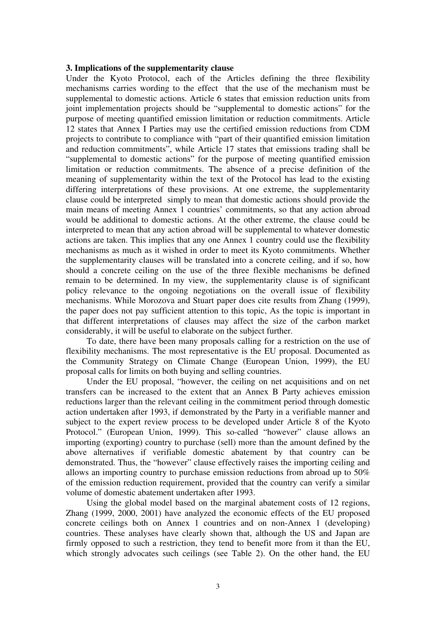#### **3. Implications of the supplementarity clause**

Under the Kyoto Protocol, each of the Articles defining the three flexibility mechanisms carries wording to the effect that the use of the mechanism must be supplemental to domestic actions. Article 6 states that emission reduction units from joint implementation projects should be "supplemental to domestic actions" for the purpose of meeting quantified emission limitation or reduction commitments. Article 12 states that Annex I Parties may use the certified emission reductions from CDM projects to contribute to compliance with "part of their quantified emission limitation and reduction commitments", while Article 17 states that emissions trading shall be "supplemental to domestic actions" for the purpose of meeting quantified emission limitation or reduction commitments. The absence of a precise definition of the meaning of supplementarity within the text of the Protocol has lead to the existing differing interpretations of these provisions. At one extreme, the supplementarity clause could be interpreted simply to mean that domestic actions should provide the main means of meeting Annex 1 countries' commitments, so that any action abroad would be additional to domestic actions. At the other extreme, the clause could be interpreted to mean that any action abroad will be supplemental to whatever domestic actions are taken. This implies that any one Annex 1 country could use the flexibility mechanisms as much as it wished in order to meet its Kyoto commitments. Whether the supplementarity clauses will be translated into a concrete ceiling, and if so, how should a concrete ceiling on the use of the three flexible mechanisms be defined remain to be determined. In my view, the supplementarity clause is of significant policy relevance to the ongoing negotiations on the overall issue of flexibility mechanisms. While Morozova and Stuart paper does cite results from Zhang (1999), the paper does not pay sufficient attention to this topic, As the topic is important in that different interpretations of clauses may affect the size of the carbon market considerably, it will be useful to elaborate on the subject further.

To date, there have been many proposals calling for a restriction on the use of flexibility mechanisms. The most representative is the EU proposal. Documented as the Community Strategy on Climate Change (European Union, 1999), the EU proposal calls for limits on both buying and selling countries.

Under the EU proposal, "however, the ceiling on net acquisitions and on net transfers can be increased to the extent that an Annex B Party achieves emission reductions larger than the relevant ceiling in the commitment period through domestic action undertaken after 1993, if demonstrated by the Party in a verifiable manner and subject to the expert review process to be developed under Article 8 of the Kyoto Protocol." (European Union, 1999). This so-called "however" clause allows an importing (exporting) country to purchase (sell) more than the amount defined by the above alternatives if verifiable domestic abatement by that country can be demonstrated. Thus, the "however" clause effectively raises the importing ceiling and allows an importing country to purchase emission reductions from abroad up to 50% of the emission reduction requirement, provided that the country can verify a similar volume of domestic abatement undertaken after 1993.

Using the global model based on the marginal abatement costs of 12 regions, Zhang (1999, 2000, 2001) have analyzed the economic effects of the EU proposed concrete ceilings both on Annex 1 countries and on non-Annex 1 (developing) countries. These analyses have clearly shown that, although the US and Japan are firmly opposed to such a restriction, they tend to benefit more from it than the EU, which strongly advocates such ceilings (see Table 2). On the other hand, the EU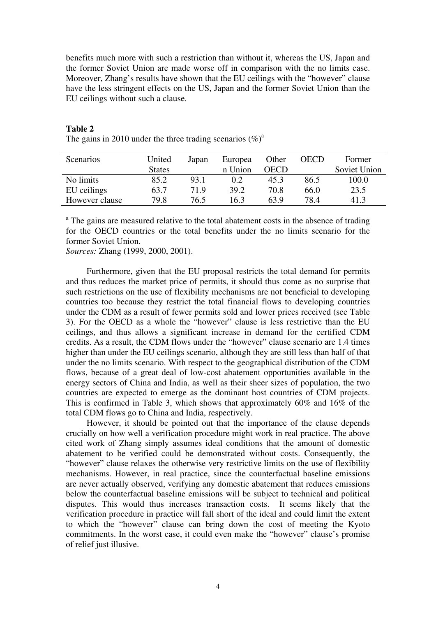benefits much more with such a restriction than without it, whereas the US, Japan and the former Soviet Union are made worse off in comparison with the no limits case. Moreover, Zhang's results have shown that the EU ceilings with the "however" clause have the less stringent effects on the US, Japan and the former Soviet Union than the EU ceilings without such a clause.

| <b>Scenarios</b> | United        | Japan | Europea | Other       | <b>OECD</b> | Former       |
|------------------|---------------|-------|---------|-------------|-------------|--------------|
|                  | <b>States</b> |       | n Union | <b>OECD</b> |             | Soviet Union |
| No limits        | 85.2          | 93.1  | 0.2     | 45.3        | 86.5        | 100.0        |
| EU ceilings      | 63.7          | 71.9  | 39.2    | 70.8        | 66.0        | 23.5         |
| However clause   | 79.8          | 76.5  | 16.3    | 63.9        | 78.4        | 41.3         |

#### **Table 2**

The gains in 2010 under the three trading scenarios  $(\%)^a$ 

<sup>a</sup> The gains are measured relative to the total abatement costs in the absence of trading for the OECD countries or the total benefits under the no limits scenario for the former Soviet Union.

*Sources:* Zhang (1999, 2000, 2001).

Furthermore, given that the EU proposal restricts the total demand for permits and thus reduces the market price of permits, it should thus come as no surprise that such restrictions on the use of flexibility mechanisms are not beneficial to developing countries too because they restrict the total financial flows to developing countries under the CDM as a result of fewer permits sold and lower prices received (see Table 3). For the OECD as a whole the "however" clause is less restrictive than the EU ceilings, and thus allows a significant increase in demand for the certified CDM credits. As a result, the CDM flows under the "however" clause scenario are 1.4 times higher than under the EU ceilings scenario, although they are still less than half of that under the no limits scenario. With respect to the geographical distribution of the CDM flows, because of a great deal of low-cost abatement opportunities available in the energy sectors of China and India, as well as their sheer sizes of population, the two countries are expected to emerge as the dominant host countries of CDM projects. This is confirmed in Table 3, which shows that approximately 60% and 16% of the total CDM flows go to China and India, respectively.

However, it should be pointed out that the importance of the clause depends crucially on how well a verification procedure might work in real practice. The above cited work of Zhang simply assumes ideal conditions that the amount of domestic abatement to be verified could be demonstrated without costs. Consequently, the "however" clause relaxes the otherwise very restrictive limits on the use of flexibility mechanisms. However, in real practice, since the counterfactual baseline emissions are never actually observed, verifying any domestic abatement that reduces emissions below the counterfactual baseline emissions will be subject to technical and political disputes. This would thus increases transaction costs. It seems likely that the verification procedure in practice will fall short of the ideal and could limit the extent to which the "however" clause can bring down the cost of meeting the Kyoto commitments. In the worst case, it could even make the "however" clause's promise of relief just illusive.